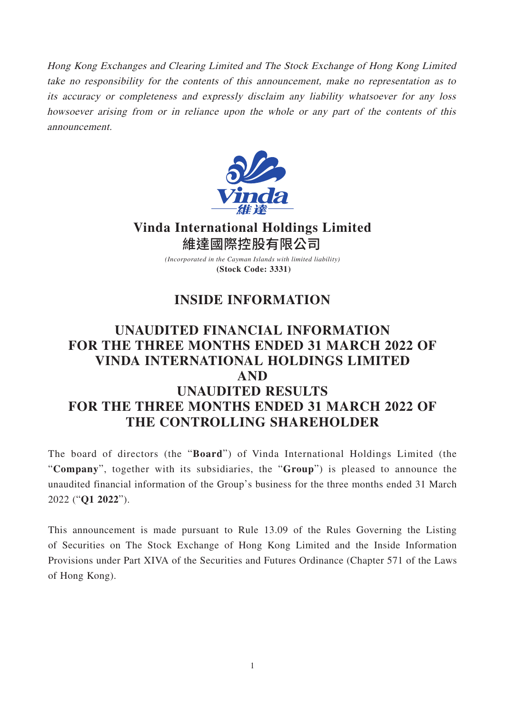Hong Kong Exchanges and Clearing Limited and The Stock Exchange of Hong Kong Limited take no responsibility for the contents of this announcement, make no representation as to its accuracy or completeness and expressly disclaim any liability whatsoever for any loss howsoever arising from or in reliance upon the whole or any part of the contents of this announcement.



**Vinda International Holdings Limited** 維達國際控股有限公司

> *(Incorporated in the Cayman Islands with limited liability)* **(Stock Code: 3331)**

## **INSIDE INFORMATION**

## **UNAUDITED FINANCIAL INFORMATION FOR THE THREE MONTHS ENDED 31 MARCH 2022 OF VINDA INTERNATIONAL HOLDINGS LIMITED AND UNAUDITED RESULTS FOR THE THREE MONTHS ENDED 31 MARCH 2022 OF THE CONTROLLING SHAREHOLDER**

The board of directors (the "**Board**") of Vinda International Holdings Limited (the "**Company**", together with its subsidiaries, the "**Group**") is pleased to announce the unaudited financial information of the Group's business for the three months ended 31 March 2022 ("**Q1 2022**").

This announcement is made pursuant to Rule 13.09 of the Rules Governing the Listing of Securities on The Stock Exchange of Hong Kong Limited and the Inside Information Provisions under Part XIVA of the Securities and Futures Ordinance (Chapter 571 of the Laws of Hong Kong).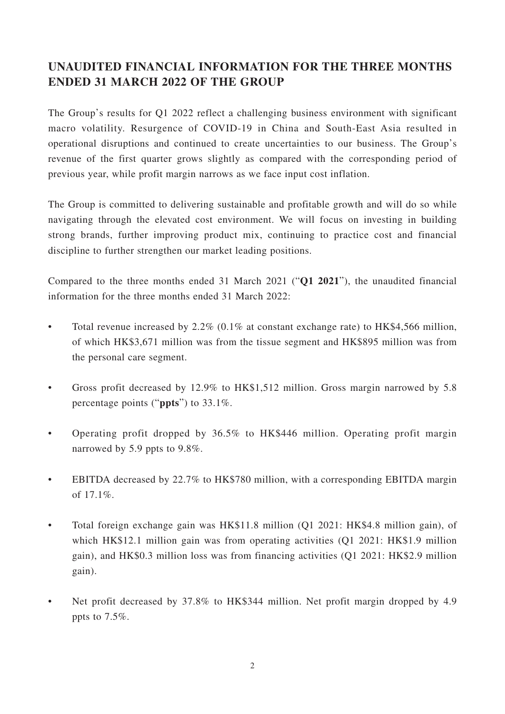## **UNAUDITED FINANCIAL INFORMATION FOR THE THREE MONTHS ENDED 31 MARCH 2022 OF THE GROUP**

The Group's results for Q1 2022 reflect a challenging business environment with significant macro volatility. Resurgence of COVID-19 in China and South-East Asia resulted in operational disruptions and continued to create uncertainties to our business. The Group's revenue of the first quarter grows slightly as compared with the corresponding period of previous year, while profit margin narrows as we face input cost inflation.

The Group is committed to delivering sustainable and profitable growth and will do so while navigating through the elevated cost environment. We will focus on investing in building strong brands, further improving product mix, continuing to practice cost and financial discipline to further strengthen our market leading positions.

Compared to the three months ended 31 March 2021 ("**Q1 2021**"), the unaudited financial information for the three months ended 31 March 2022:

- Total revenue increased by  $2.2\%$  (0.1% at constant exchange rate) to HK\$4,566 million, of which HK\$3,671 million was from the tissue segment and HK\$895 million was from the personal care segment.
- Gross profit decreased by 12.9% to HK\$1,512 million. Gross margin narrowed by 5.8 percentage points ("**ppts**") to 33.1%.
- Operating profit dropped by 36.5% to HK\$446 million. Operating profit margin narrowed by 5.9 ppts to 9.8%.
- EBITDA decreased by 22.7% to HK\$780 million, with a corresponding EBITDA margin of 17.1%.
- Total foreign exchange gain was HK\$11.8 million (Q1 2021: HK\$4.8 million gain), of which HK\$12.1 million gain was from operating activities (Q1 2021: HK\$1.9 million gain), and HK\$0.3 million loss was from financing activities (Q1 2021: HK\$2.9 million gain).
- Net profit decreased by 37.8% to HK\$344 million. Net profit margin dropped by 4.9 ppts to 7.5%.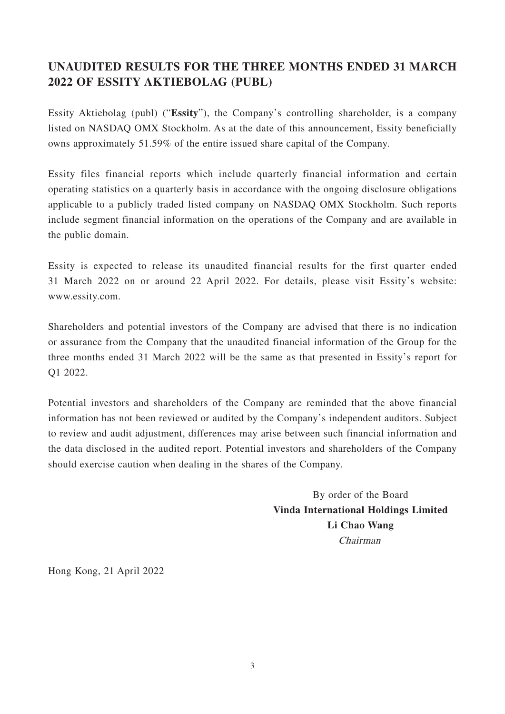## **UNAUDITED RESULTS FOR THE THREE MONTHS ENDED 31 MARCH 2022 OF ESSITY AKTIEBOLAG (PUBL)**

Essity Aktiebolag (publ) ("**Essity**"), the Company's controlling shareholder, is a company listed on NASDAQ OMX Stockholm. As at the date of this announcement, Essity beneficially owns approximately 51.59% of the entire issued share capital of the Company.

Essity files financial reports which include quarterly financial information and certain operating statistics on a quarterly basis in accordance with the ongoing disclosure obligations applicable to a publicly traded listed company on NASDAQ OMX Stockholm. Such reports include segment financial information on the operations of the Company and are available in the public domain.

Essity is expected to release its unaudited financial results for the first quarter ended 31 March 2022 on or around 22 April 2022. For details, please visit Essity's website: www.essity.com.

Shareholders and potential investors of the Company are advised that there is no indication or assurance from the Company that the unaudited financial information of the Group for the three months ended 31 March 2022 will be the same as that presented in Essity's report for Q1 2022.

Potential investors and shareholders of the Company are reminded that the above financial information has not been reviewed or audited by the Company's independent auditors. Subject to review and audit adjustment, differences may arise between such financial information and the data disclosed in the audited report. Potential investors and shareholders of the Company should exercise caution when dealing in the shares of the Company.

> By order of the Board **Vinda International Holdings Limited Li Chao Wang** Chairman

Hong Kong, 21 April 2022